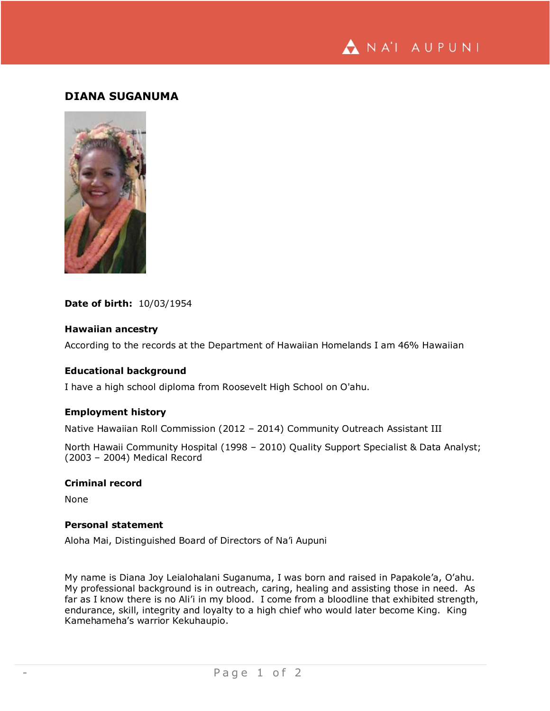NA'I AUPUNI

# **DIANA SUGANUMA**



#### **Date of birth:** 10/03/1954

#### **Hawaiian ancestry**

According to the records at the Department of Hawaiian Homelands I am 46% Hawaiian

# **Educational background**

I have a high school diploma from Roosevelt High School on O'ahu.

#### **Employment history**

Native Hawaiian Roll Commission (2012 – 2014) Community Outreach Assistant III

North Hawaii Community Hospital (1998 – 2010) Quality Support Specialist & Data Analyst; (2003 – 2004) Medical Record

# **Criminal record**

None

# **Personal statement**

Aloha Mai, Distinguished Board of Directors of Na'i Aupuni

My name is Diana Joy Leialohalani Suganuma, I was born and raised in Papakole'a, O'ahu. My professional background is in outreach, caring, healing and assisting those in need. As far as I know there is no Ali'i in my blood. I come from a bloodline that exhibited strength, endurance, skill, integrity and loyalty to a high chief who would later become King. King Kamehameha's warrior Kekuhaupio.